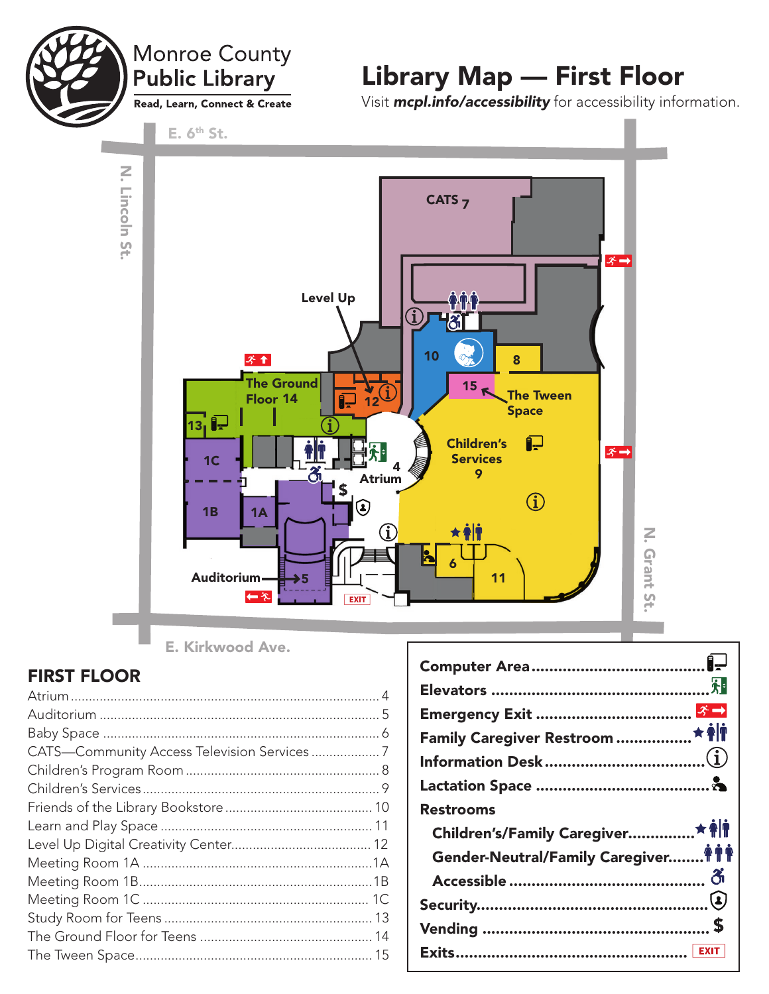

N. Lincoln St.

N. Lincoln St.

## Monroe County **Public Library** Read, Learn, Connect & Create

Library Map — First Floor

E.  $6<sup>th</sup>$  St.

Visit *mcpl.info/accessibility* for accessibility information.



E. Kirkwood Ave.

### FIRST FLOOR

| Emergency Exit ……………………………… <mark>ぷー</mark> |  |
|---------------------------------------------|--|
| Family Caregiver Restroom ………………★ ♠│¶       |  |
| Information Desk……………………………………( $\bf{j})$   |  |
|                                             |  |
| <b>Restrooms</b>                            |  |
|                                             |  |
|                                             |  |
| Children's/Family Caregiver ★ 會             |  |
| Gender-Neutral/Family Caregiver ♦ ♦ ♦       |  |
|                                             |  |
|                                             |  |
|                                             |  |